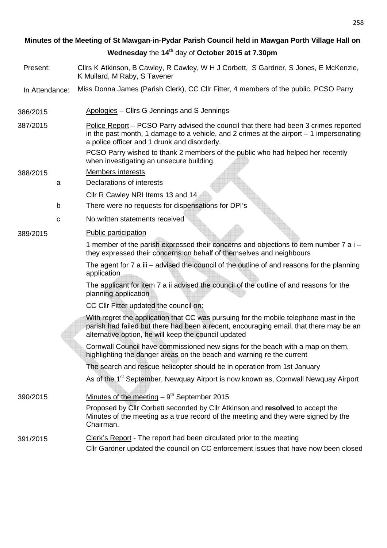# **Minutes of the Meeting of St Mawgan-in-Pydar Parish Council held in Mawgan Porth Village Hall on Wednesday** the **14th** day of **October 2015 at 7.30pm**

- Present: Cllrs K Atkinson, B Cawley, R Cawley, W H J Corbett, S Gardner, S Jones, E McKenzie, K Mullard, M Raby, S Tavener
- In Attendance: Miss Donna James (Parish Clerk), CC Cllr Fitter, 4 members of the public, PCSO Parry
- 386/2015 Apologies Cllrs G Jennings and S Jennings
- 387/2015 Police Report PCSO Parry advised the council that there had been 3 crimes reported in the past month, 1 damage to a vehicle, and 2 crimes at the airport – 1 impersonating a police officer and 1 drunk and disorderly.
	- PCSO Parry wished to thank 2 members of the public who had helped her recently when investigating an unsecure building.

### 388/2015 Members interests

- a Declarations of interests
	- Cllr R Cawley NRI Items 13 and 14
- b There were no requests for dispensations for DPI's
- c No written statements received

### 389/2015 Public participation

1 member of the parish expressed their concerns and objections to item number 7 a i – they expressed their concerns on behalf of themselves and neighbours

The agent for 7 a iii – advised the council of the outline of and reasons for the planning application

The applicant for item 7 a ii advised the council of the outline of and reasons for the planning application

CC Cllr Fitter updated the council on:

With regret the application that CC was pursuing for the mobile telephone mast in the parish had failed but there had been a recent, encouraging email, that there may be an alternative option, he will keep the council updated

Cornwall Council have commissioned new signs for the beach with a map on them, highlighting the danger areas on the beach and warning re the current

The search and rescue helicopter should be in operation from 1st January

As of the 1<sup>st</sup> September, Newquay Airport is now known as, Cornwall Newquay Airport

 $390/2015$  Minutes of the meeting  $-9<sup>th</sup>$  September 2015 Proposed by Cllr Corbett seconded by Cllr Atkinson and **resolved** to accept the Minutes of the meeting as a true record of the meeting and they were signed by the Chairman. 391/2015 Clerk's Report - The report had been circulated prior to the meeting

# Cllr Gardner updated the council on CC enforcement issues that have now been closed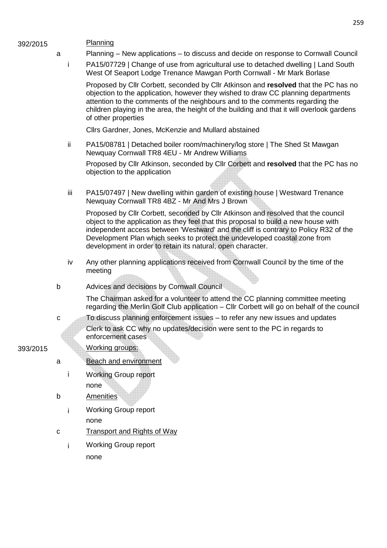| 392/2015 |             |     | Planning                                                                                                                                                                                                                                                                                                                                                                                                     |
|----------|-------------|-----|--------------------------------------------------------------------------------------------------------------------------------------------------------------------------------------------------------------------------------------------------------------------------------------------------------------------------------------------------------------------------------------------------------------|
|          | a           |     | Planning – New applications – to discuss and decide on response to Cornwall Council                                                                                                                                                                                                                                                                                                                          |
|          |             | i.  | PA15/07729   Change of use from agricultural use to detached dwelling   Land South<br>West Of Seaport Lodge Trenance Mawgan Porth Cornwall - Mr Mark Borlase                                                                                                                                                                                                                                                 |
|          |             |     | Proposed by Cllr Corbett, seconded by Cllr Atkinson and resolved that the PC has no<br>objection to the application, however they wished to draw CC planning departments<br>attention to the comments of the neighbours and to the comments regarding the<br>children playing in the area, the height of the building and that it will overlook gardens<br>of other properties                               |
|          |             |     | Cllrs Gardner, Jones, McKenzie and Mullard abstained                                                                                                                                                                                                                                                                                                                                                         |
|          |             | ij. | PA15/08781   Detached boiler room/machinery/log store   The Shed St Mawgan<br>Newquay Cornwall TR8 4EU - Mr Andrew Williams                                                                                                                                                                                                                                                                                  |
|          |             |     | Proposed by Cllr Atkinson, seconded by Cllr Corbett and resolved that the PC has no<br>objection to the application                                                                                                                                                                                                                                                                                          |
|          |             | iii | PA15/07497   New dwelling within garden of existing house   Westward Trenance<br>Newquay Cornwall TR8 4BZ - Mr And Mrs J Brown                                                                                                                                                                                                                                                                               |
|          |             |     | Proposed by Cllr Corbett, seconded by Cllr Atkinson and resolved that the council<br>object to the application as they feel that this proposal to build a new house with<br>independent access between 'Westward' and the cliff is contrary to Policy R32 of the<br>Development Plan which seeks to protect the undeveloped coastal zone from<br>development in order to retain its natural, open character. |
|          |             | iv  | Any other planning applications received from Cornwall Council by the time of the<br>meeting                                                                                                                                                                                                                                                                                                                 |
|          | b           |     | Advices and decisions by Cornwall Council                                                                                                                                                                                                                                                                                                                                                                    |
|          |             |     | The Chairman asked for a volunteer to attend the CC planning committee meeting<br>regarding the Merlin Golf Club application – Cllr Corbett will go on behalf of the council                                                                                                                                                                                                                                 |
|          | с           |     | To discuss planning enforcement issues – to refer any new issues and updates                                                                                                                                                                                                                                                                                                                                 |
|          |             |     | Clerk to ask CC why no updates/decision were sent to the PC in regards to<br>enforcement cases                                                                                                                                                                                                                                                                                                               |
| 393/2015 |             |     | Working groups:                                                                                                                                                                                                                                                                                                                                                                                              |
|          | a           |     | <b>Beach and environment</b>                                                                                                                                                                                                                                                                                                                                                                                 |
|          |             |     | <b>Working Group report</b>                                                                                                                                                                                                                                                                                                                                                                                  |
|          |             |     | none                                                                                                                                                                                                                                                                                                                                                                                                         |
|          | $\sf b$     |     | <b>Amenities</b>                                                                                                                                                                                                                                                                                                                                                                                             |
|          |             |     | <b>Working Group report</b>                                                                                                                                                                                                                                                                                                                                                                                  |
|          |             |     | none                                                                                                                                                                                                                                                                                                                                                                                                         |
|          | $\mathbf C$ |     | <b>Transport and Rights of Way</b>                                                                                                                                                                                                                                                                                                                                                                           |
|          |             | i.  | <b>Working Group report</b>                                                                                                                                                                                                                                                                                                                                                                                  |
|          |             |     | none                                                                                                                                                                                                                                                                                                                                                                                                         |
|          |             |     |                                                                                                                                                                                                                                                                                                                                                                                                              |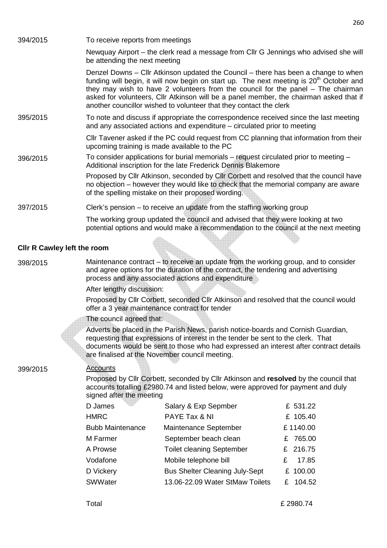| 394/2015                           | To receive reports from meetings                                                                                                                                                                                                                                                                                |                                                                                                                                                                                                                                                                                                                                                                                                                                               |          |  |  |  |  |
|------------------------------------|-----------------------------------------------------------------------------------------------------------------------------------------------------------------------------------------------------------------------------------------------------------------------------------------------------------------|-----------------------------------------------------------------------------------------------------------------------------------------------------------------------------------------------------------------------------------------------------------------------------------------------------------------------------------------------------------------------------------------------------------------------------------------------|----------|--|--|--|--|
|                                    | be attending the next meeting                                                                                                                                                                                                                                                                                   | Newquay Airport – the clerk read a message from Cllr G Jennings who advised she will                                                                                                                                                                                                                                                                                                                                                          |          |  |  |  |  |
|                                    |                                                                                                                                                                                                                                                                                                                 | Denzel Downs – Cllr Atkinson updated the Council – there has been a change to when<br>funding will begin, it will now begin on start up. The next meeting is 20 <sup>th</sup> October and<br>they may wish to have 2 volunteers from the council for the panel - The chairman<br>asked for volunteers, Cllr Atkinson will be a panel member, the chairman asked that if<br>another councillor wished to volunteer that they contact the clerk |          |  |  |  |  |
| 395/2015                           |                                                                                                                                                                                                                                                                                                                 | To note and discuss if appropriate the correspondence received since the last meeting<br>and any associated actions and expenditure – circulated prior to meeting                                                                                                                                                                                                                                                                             |          |  |  |  |  |
|                                    | upcoming training is made available to the PC                                                                                                                                                                                                                                                                   | CIIr Tavener asked if the PC could request from CC planning that information from their                                                                                                                                                                                                                                                                                                                                                       |          |  |  |  |  |
| 396/2015                           | To consider applications for burial memorials – request circulated prior to meeting –<br>Additional inscription for the late Frederick Dennis Blakemore                                                                                                                                                         |                                                                                                                                                                                                                                                                                                                                                                                                                                               |          |  |  |  |  |
|                                    | Proposed by Cllr Atkinson, seconded by Cllr Corbett and resolved that the council have<br>no objection – however they would like to check that the memorial company are aware<br>of the spelling mistake on their proposed wording.                                                                             |                                                                                                                                                                                                                                                                                                                                                                                                                                               |          |  |  |  |  |
| 397/2015                           |                                                                                                                                                                                                                                                                                                                 | Clerk's pension – to receive an update from the staffing working group                                                                                                                                                                                                                                                                                                                                                                        |          |  |  |  |  |
|                                    |                                                                                                                                                                                                                                                                                                                 | The working group updated the council and advised that they were looking at two<br>potential options and would make a recommendation to the council at the next meeting                                                                                                                                                                                                                                                                       |          |  |  |  |  |
| <b>CIIr R Cawley left the room</b> |                                                                                                                                                                                                                                                                                                                 |                                                                                                                                                                                                                                                                                                                                                                                                                                               |          |  |  |  |  |
| 398/2015                           | Maintenance contract – to receive an update from the working group, and to consider<br>and agree options for the duration of the contract, the tendering and advertising<br>process and any associated actions and expenditure                                                                                  |                                                                                                                                                                                                                                                                                                                                                                                                                                               |          |  |  |  |  |
|                                    | After lengthy discussion:                                                                                                                                                                                                                                                                                       |                                                                                                                                                                                                                                                                                                                                                                                                                                               |          |  |  |  |  |
|                                    | Proposed by Cllr Corbett, seconded Cllr Atkinson and resolved that the council would<br>offer a 3 year maintenance contract for tender                                                                                                                                                                          |                                                                                                                                                                                                                                                                                                                                                                                                                                               |          |  |  |  |  |
|                                    | The council agreed that:                                                                                                                                                                                                                                                                                        |                                                                                                                                                                                                                                                                                                                                                                                                                                               |          |  |  |  |  |
|                                    | Adverts be placed in the Parish News, parish notice-boards and Cornish Guardian,<br>requesting that expressions of interest in the tender be sent to the clerk. That<br>documents would be sent to those who had expressed an interest after contract details<br>are finalised at the November council meeting. |                                                                                                                                                                                                                                                                                                                                                                                                                                               |          |  |  |  |  |
| 399/2015                           | <u>Accounts</u>                                                                                                                                                                                                                                                                                                 |                                                                                                                                                                                                                                                                                                                                                                                                                                               |          |  |  |  |  |
|                                    | Proposed by Cllr Corbett, seconded by Cllr Atkinson and resolved by the council that<br>accounts totalling £2980.74 and listed below, were approved for payment and duly<br>signed after the meeting                                                                                                            |                                                                                                                                                                                                                                                                                                                                                                                                                                               |          |  |  |  |  |
|                                    | D James                                                                                                                                                                                                                                                                                                         | Salary & Exp Sepmber                                                                                                                                                                                                                                                                                                                                                                                                                          | £ 531.22 |  |  |  |  |
|                                    | <b>HMRC</b>                                                                                                                                                                                                                                                                                                     | PAYE Tax & NI                                                                                                                                                                                                                                                                                                                                                                                                                                 | £ 105.40 |  |  |  |  |
|                                    | <b>Bubb Maintenance</b>                                                                                                                                                                                                                                                                                         | Maintenance September                                                                                                                                                                                                                                                                                                                                                                                                                         | £1140.00 |  |  |  |  |

M Farmer September beach clean E 765.00 A Prowse Toilet cleaning September E 216.75 Vodafone Mobile telephone bill  $\epsilon$  17.85

| D Vickery | <b>Bus Shelter Cleaning July-Sept</b> | £ 100.00 |
|-----------|---------------------------------------|----------|
| SWWater   | 13.06-22.09 Water StMaw Toilets       | £ 104.52 |
|           |                                       |          |